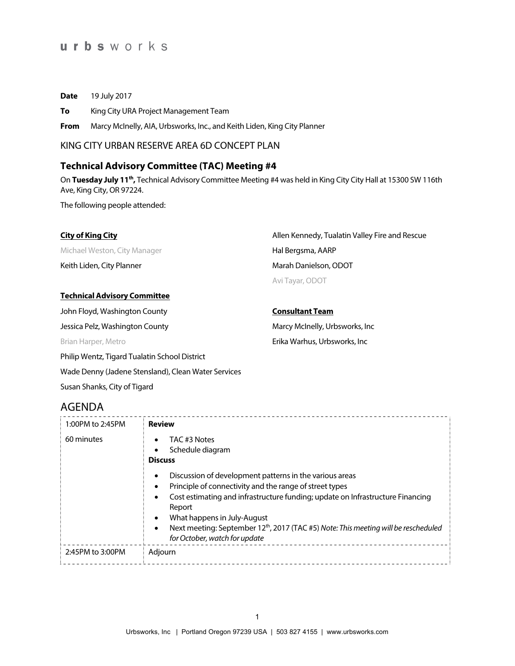### **Date** 19 July 2017

**To** King City URA Project Management Team

**From** Marcy McInelly, AIA, Urbsworks, Inc., and Keith Liden, King City Planner

KING CITY URBAN RESERVE AREA 6D CONCEPT PLAN

### **Technical Advisory Committee (TAC) Meeting #4**

On **Tuesday July 11th,** Technical Advisory Committee Meeting #4 was held in King City City Hall at 15300 SW 116th Ave, King City, OR 97224.

The following people attended:

| <b>City of King City</b>            | Allen Kennedy, Tualatin Valley Fire and Rescue |
|-------------------------------------|------------------------------------------------|
| Michael Weston, City Manager        | Hal Bergsma, AARP                              |
| Keith Liden, City Planner           | Marah Danielson, ODOT                          |
|                                     | Avi Tayar, ODOT                                |
| <b>Technical Advisory Committee</b> |                                                |
| John Floyd, Washington County       | <b>Consultant Team</b>                         |
| Jessica Pelz, Washington County     | Marcy McInelly, Urbsworks, Inc.                |
| Brian Harper, Metro                 | Erika Warhus, Urbsworks, Inc                   |
|                                     |                                                |

Philip Wentz, Tigard Tualatin School District Wade Denny (Jadene Stensland), Clean Water Services Susan Shanks, City of Tigard

# AGENDA

| 1:00PM to 2:45PM | <b>Review</b>                                                                                                                                                                                                                                                                |
|------------------|------------------------------------------------------------------------------------------------------------------------------------------------------------------------------------------------------------------------------------------------------------------------------|
| 60 minutes       | TAC #3 Notes<br>$\bullet$<br>Schedule diagram<br><b>Discuss</b>                                                                                                                                                                                                              |
|                  | Discussion of development patterns in the various areas<br>٠<br>Principle of connectivity and the range of street types<br>$\bullet$<br>Cost estimating and infrastructure funding; update on Infrastructure Financing<br>Report<br>What happens in July-August<br>$\bullet$ |
|                  | Next meeting: September 12 <sup>th</sup> , 2017 (TAC #5) Note: This meeting will be rescheduled<br>$\bullet$<br>for October, watch for update                                                                                                                                |
| 2:45PM to 3:00PM | Adjourn                                                                                                                                                                                                                                                                      |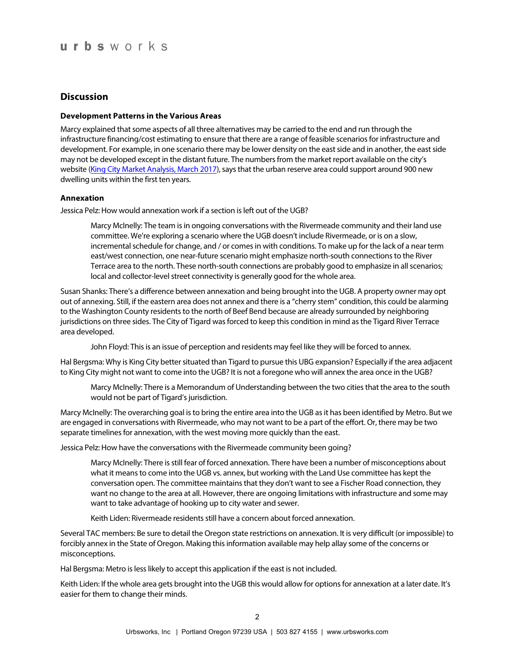### **Discussion**

#### **Development Patterns in the Various Areas**

Marcy explained that some aspects of all three alternatives may be carried to the end and run through the infrastructure financing/cost estimating to ensure that there are a range of feasible scenarios for infrastructure and development. For example, in one scenario there may be lower density on the east side and in another, the east side may not be developed except in the distant future. The numbers from the market report available on the city's website (King City Market Analysis, March 2017), says that the urban reserve area could support around 900 new dwelling units within the first ten years.

#### **Annexation**

Jessica Pelz: How would annexation work if a section is left out of the UGB?

Marcy McInelly: The team is in ongoing conversations with the Rivermeade community and their land use committee. We're exploring a scenario where the UGB doesn't include Rivermeade, or is on a slow, incremental schedule for change, and / or comes in with conditions. To make up for the lack of a near term east/west connection, one near-future scenario might emphasize north-south connections to the River Terrace area to the north. These north-south connections are probably good to emphasize in all scenarios; local and collector-level street connectivity is generally good for the whole area.

Susan Shanks: There's a difference between annexation and being brought into the UGB. A property owner may opt out of annexing. Still, if the eastern area does not annex and there is a "cherry stem" condition, this could be alarming to the Washington County residents to the north of Beef Bend because are already surrounded by neighboring jurisdictions on three sides. The City of Tigard was forced to keep this condition in mind as the Tigard River Terrace area developed.

John Floyd: This is an issue of perception and residents may feel like they will be forced to annex.

Hal Bergsma: Why is King City better situated than Tigard to pursue this UBG expansion? Especially if the area adjacent to King City might not want to come into the UGB? It is not a foregone who will annex the area once in the UGB?

Marcy McInelly: There is a Memorandum of Understanding between the two cities that the area to the south would not be part of Tigard's jurisdiction.

Marcy McInelly: The overarching goal is to bring the entire area into the UGB as it has been identified by Metro. But we are engaged in conversations with Rivermeade, who may not want to be a part of the effort. Or, there may be two separate timelines for annexation, with the west moving more quickly than the east.

Jessica Pelz: How have the conversations with the Rivermeade community been going?

Marcy McInelly: There is still fear of forced annexation. There have been a number of misconceptions about what it means to come into the UGB vs. annex, but working with the Land Use committee has kept the conversation open. The committee maintains that they don't want to see a Fischer Road connection, they want no change to the area at all. However, there are ongoing limitations with infrastructure and some may want to take advantage of hooking up to city water and sewer.

Keith Liden: Rivermeade residents still have a concern about forced annexation.

Several TAC members: Be sure to detail the Oregon state restrictions on annexation. It is very difficult (or impossible) to forcibly annex in the State of Oregon. Making this information available may help allay some of the concerns or misconceptions.

Hal Bergsma: Metro is less likely to accept this application if the east is not included.

Keith Liden: If the whole area gets brought into the UGB this would allow for options for annexation at a later date. It's easier for them to change their minds.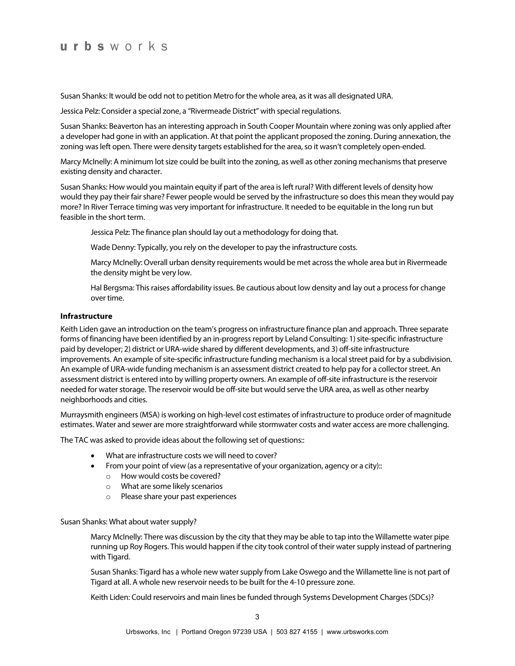Susan Shanks: It would be odd not to petition Metro for the whole area, as it was all designated URA.

Jessica Pelz: Consider a special zone, a "Rivermeade District" with special regulations.

Susan Shanks: Beaverton has an interesting approach in South Cooper Mountain where zoning was only applied after a developer had gone in with an application. At that point the applicant proposed the zoning. During annexation, the zoning was left open. There were density targets established for the area, so it wasn't completely open-ended.

Marcy McInelly: A minimum lot size could be built into the zoning, as well as other zoning mechanisms that preserve existing density and character.

Susan Shanks: How would you maintain equity if part of the area is left rural? With different levels of density how would they pay their fair share? Fewer people would be served by the infrastructure so does this mean they would pay more? In River Terrace timing was very important for infrastructure. It needed to be equitable in the long run but feasible in the short term.

Jessica Pelz: The finance plan should lay out a methodology for doing that.

Wade Denny: Typically, you rely on the developer to pay the infrastructure costs.

Marcy McInelly: Overall urban density requirements would be met across the whole area but in Rivermeade the density might be very low.

Hal Bergsma: This raises affordability issues. Be cautious about low density and lay out a process for change over time.

#### **Infrastructure**

Keith Liden gave an introduction on the team's progress on infrastructure finance plan and approach. Three separate forms of financing have been identified by an in-progress report by Leland Consulting: 1) site-specific infrastructure paid by developer; 2) district or URA-wide shared by different developments, and 3) off-site infrastructure improvements. An example of site-specific infrastructure funding mechanism is a local street paid for by a subdivision. An example of URA-wide funding mechanism is an assessment district created to help pay for a collector street. An assessment district is entered into by willing property owners. An example of off-site infrastructure is the reservoir needed for water storage. The reservoir would be off-site but would serve the URA area, as well as other nearby neighborhoods and cities.

Murraysmith engineers (MSA) is working on high-level cost estimates of infrastructure to produce order of magnitude estimates. Water and sewer are more straightforward while stormwater costs and water access are more challenging.

The TAC was asked to provide ideas about the following set of questions::

- What are infrastructure costs we will need to cover?
- From your point of view (as a representative of your organization, agency or a city):
	- o How would costs be covered?
	- o What are some likely scenarios
	- o Please share your past experiences

#### Susan Shanks: What about water supply?

Marcy McInelly: There was discussion by the city that they may be able to tap into the Willamette water pipe running up Roy Rogers. This would happen if the city took control of their water supply instead of partnering with Tigard.

Susan Shanks: Tigard has a whole new water supply from Lake Oswego and the Willamette line is not part of Tigard at all. A whole new reservoir needs to be built for the 4-10 pressure zone.

Keith Liden: Could reservoirs and main lines be funded through Systems Development Charges (SDCs)?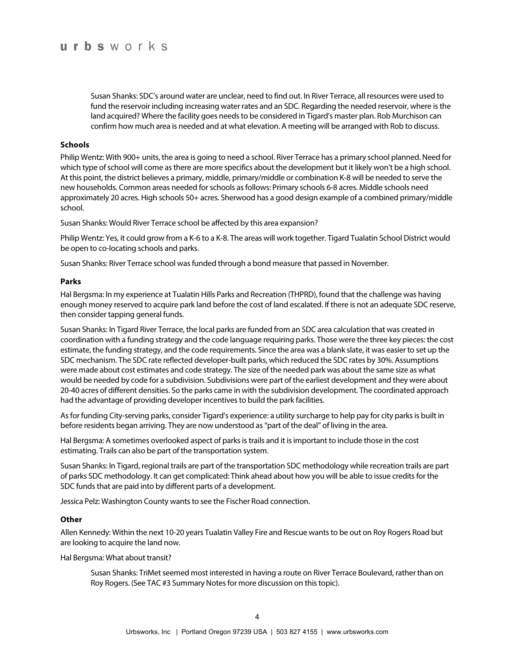Susan Shanks: SDC's around water are unclear, need to find out. In River Terrace, all resources were used to fund the reservoir including increasing water rates and an SDC. Regarding the needed reservoir, where is the land acquired? Where the facility goes needs to be considered in Tigard's master plan. Rob Murchison can confirm how much area is needed and at what elevation. A meeting will be arranged with Rob to discuss.

#### **Schools**

Philip Wentz: With 900+ units, the area is going to need a school. River Terrace has a primary school planned. Need for which type of school will come as there are more specifics about the development but it likely won't be a high school. At this point, the district believes a primary, middle, primary/middle or combination K-8 will be needed to serve the new households. Common areas needed for schools as follows: Primary schools 6-8 acres. Middle schools need approximately 20 acres. High schools 50+ acres. Sherwood has a good design example of a combined primary/middle school.

Susan Shanks: Would River Terrace school be affected by this area expansion?

Philip Wentz: Yes, it could grow from a K-6 to a K-8. The areas will work together. Tigard Tualatin School District would be open to co-locating schools and parks.

Susan Shanks: River Terrace school was funded through a bond measure that passed in November.

#### **Parks**

Hal Bergsma: In my experience at Tualatin Hills Parks and Recreation (THPRD), found that the challenge was having enough money reserved to acquire park land before the cost of land escalated. If there is not an adequate SDC reserve, then consider tapping general funds.

Susan Shanks: In Tigard River Terrace, the local parks are funded from an SDC area calculation that was created in coordination with a funding strategy and the code language requiring parks. Those were the three key pieces: the cost estimate, the funding strategy, and the code requirements. Since the area was a blank slate, it was easier to set up the SDC mechanism. The SDC rate reflected developer-built parks, which reduced the SDC rates by 30%. Assumptions were made about cost estimates and code strategy. The size of the needed park was about the same size as what would be needed by code for a subdivision. Subdivisions were part of the earliest development and they were about 20-40 acres of different densities. So the parks came in with the subdivision development. The coordinated approach had the advantage of providing developer incentives to build the park facilities.

As for funding City-serving parks, consider Tigard's experience: a utility surcharge to help pay for city parks is built in before residents began arriving. They are now understood as "part of the deal" of living in the area.

Hal Bergsma: A sometimes overlooked aspect of parks is trails and it is important to include those in the cost estimating. Trails can also be part of the transportation system.

Susan Shanks: In Tigard, regional trails are part of the transportation SDC methodology while recreation trails are part of parks SDC methodology. It can get complicated: Think ahead about how you will be able to issue credits for the SDC funds that are paid into by different parts of a development.

Jessica Pelz: Washington County wants to see the Fischer Road connection.

#### **Other**

Allen Kennedy: Within the next 10-20 years Tualatin Valley Fire and Rescue wants to be out on Roy Rogers Road but are looking to acquire the land now.

Hal Bergsma: What about transit?

Susan Shanks: TriMet seemed most interested in having a route on River Terrace Boulevard, rather than on Roy Rogers. (See TAC #3 Summary Notes for more discussion on this topic).